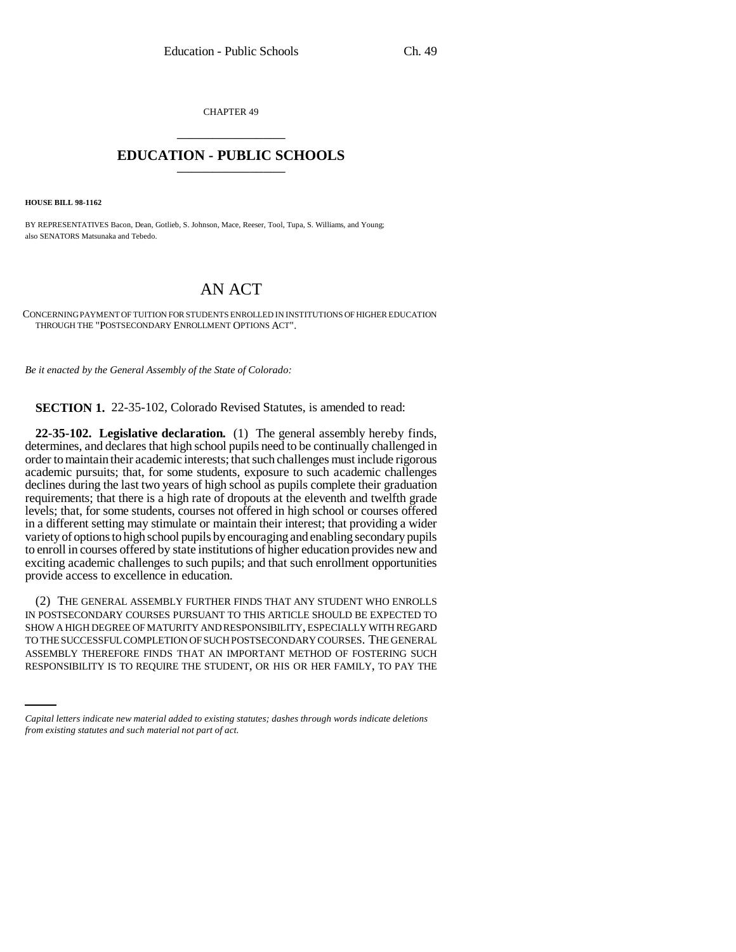CHAPTER 49 \_\_\_\_\_\_\_\_\_\_\_\_\_\_\_

## **EDUCATION - PUBLIC SCHOOLS** \_\_\_\_\_\_\_\_\_\_\_\_\_\_\_

**HOUSE BILL 98-1162**

BY REPRESENTATIVES Bacon, Dean, Gotlieb, S. Johnson, Mace, Reeser, Tool, Tupa, S. Williams, and Young; also SENATORS Matsunaka and Tebedo.

## AN ACT

CONCERNING PAYMENT OF TUITION FOR STUDENTS ENROLLED IN INSTITUTIONS OF HIGHER EDUCATION THROUGH THE "POSTSECONDARY ENROLLMENT OPTIONS ACT".

*Be it enacted by the General Assembly of the State of Colorado:*

**SECTION 1.** 22-35-102, Colorado Revised Statutes, is amended to read:

**22-35-102. Legislative declaration.** (1) The general assembly hereby finds, determines, and declares that high school pupils need to be continually challenged in order to maintain their academic interests; that such challenges must include rigorous academic pursuits; that, for some students, exposure to such academic challenges declines during the last two years of high school as pupils complete their graduation requirements; that there is a high rate of dropouts at the eleventh and twelfth grade levels; that, for some students, courses not offered in high school or courses offered in a different setting may stimulate or maintain their interest; that providing a wider variety of options to high school pupils by encouraging and enabling secondary pupils to enroll in courses offered by state institutions of higher education provides new and exciting academic challenges to such pupils; and that such enrollment opportunities provide access to excellence in education.

TO THE SUCCESSFUL COMPLETION OF SUCH POSTSECONDARY COURSES. THE GENERAL (2) THE GENERAL ASSEMBLY FURTHER FINDS THAT ANY STUDENT WHO ENROLLS IN POSTSECONDARY COURSES PURSUANT TO THIS ARTICLE SHOULD BE EXPECTED TO SHOW A HIGH DEGREE OF MATURITY AND RESPONSIBILITY, ESPECIALLY WITH REGARD ASSEMBLY THEREFORE FINDS THAT AN IMPORTANT METHOD OF FOSTERING SUCH RESPONSIBILITY IS TO REQUIRE THE STUDENT, OR HIS OR HER FAMILY, TO PAY THE

*Capital letters indicate new material added to existing statutes; dashes through words indicate deletions from existing statutes and such material not part of act.*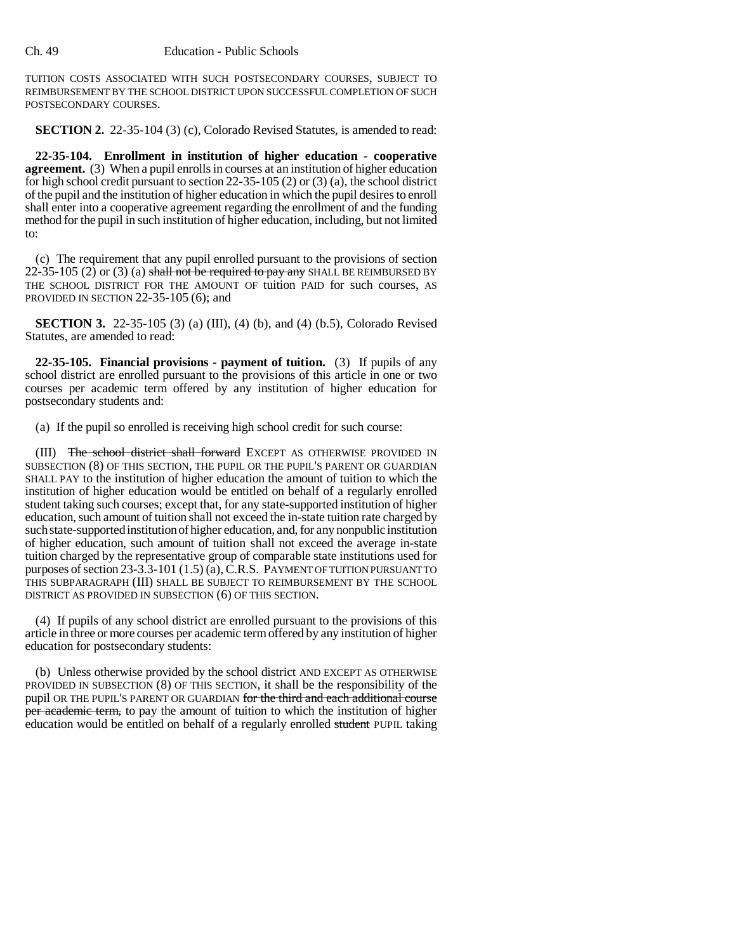## Ch. 49 Education - Public Schools

TUITION COSTS ASSOCIATED WITH SUCH POSTSECONDARY COURSES, SUBJECT TO REIMBURSEMENT BY THE SCHOOL DISTRICT UPON SUCCESSFUL COMPLETION OF SUCH POSTSECONDARY COURSES.

**SECTION 2.** 22-35-104 (3) (c), Colorado Revised Statutes, is amended to read:

**22-35-104. Enrollment in institution of higher education - cooperative agreement.** (3) When a pupil enrolls in courses at an institution of higher education for high school credit pursuant to section 22-35-105 (2) or (3) (a), the school district of the pupil and the institution of higher education in which the pupil desires to enroll shall enter into a cooperative agreement regarding the enrollment of and the funding method for the pupil in such institution of higher education, including, but not limited to:

(c) The requirement that any pupil enrolled pursuant to the provisions of section 22-35-105 (2) or (3) (a) shall not be required to pay any SHALL BE REIMBURSED BY THE SCHOOL DISTRICT FOR THE AMOUNT OF tuition PAID for such courses, AS PROVIDED IN SECTION 22-35-105 (6); and

**SECTION 3.** 22-35-105 (3) (a) (III), (4) (b), and (4) (b.5), Colorado Revised Statutes, are amended to read:

**22-35-105. Financial provisions - payment of tuition.** (3) If pupils of any school district are enrolled pursuant to the provisions of this article in one or two courses per academic term offered by any institution of higher education for postsecondary students and:

(a) If the pupil so enrolled is receiving high school credit for such course:

(III) The school district shall forward EXCEPT AS OTHERWISE PROVIDED IN SUBSECTION (8) OF THIS SECTION, THE PUPIL OR THE PUPIL'S PARENT OR GUARDIAN SHALL PAY to the institution of higher education the amount of tuition to which the institution of higher education would be entitled on behalf of a regularly enrolled student taking such courses; except that, for any state-supported institution of higher education, such amount of tuition shall not exceed the in-state tuition rate charged by such state-supported institution of higher education, and, for any nonpublic institution of higher education, such amount of tuition shall not exceed the average in-state tuition charged by the representative group of comparable state institutions used for purposes of section 23-3.3-101 (1.5) (a), C.R.S. PAYMENT OF TUITION PURSUANT TO THIS SUBPARAGRAPH (III) SHALL BE SUBJECT TO REIMBURSEMENT BY THE SCHOOL DISTRICT AS PROVIDED IN SUBSECTION (6) OF THIS SECTION.

(4) If pupils of any school district are enrolled pursuant to the provisions of this article in three or more courses per academic term offered by any institution of higher education for postsecondary students:

(b) Unless otherwise provided by the school district AND EXCEPT AS OTHERWISE PROVIDED IN SUBSECTION (8) OF THIS SECTION, it shall be the responsibility of the pupil OR THE PUPIL'S PARENT OR GUARDIAN for the third and each additional course per academic term, to pay the amount of tuition to which the institution of higher education would be entitled on behalf of a regularly enrolled student PUPIL taking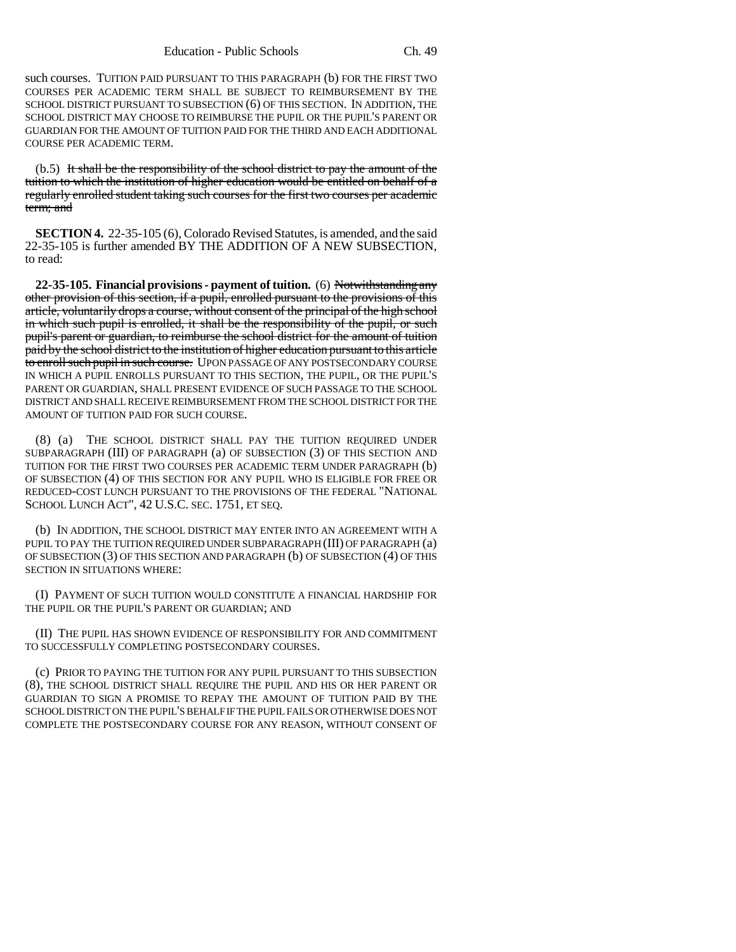such courses. TUITION PAID PURSUANT TO THIS PARAGRAPH (b) FOR THE FIRST TWO COURSES PER ACADEMIC TERM SHALL BE SUBJECT TO REIMBURSEMENT BY THE SCHOOL DISTRICT PURSUANT TO SUBSECTION (6) OF THIS SECTION. IN ADDITION, THE SCHOOL DISTRICT MAY CHOOSE TO REIMBURSE THE PUPIL OR THE PUPIL'S PARENT OR GUARDIAN FOR THE AMOUNT OF TUITION PAID FOR THE THIRD AND EACH ADDITIONAL COURSE PER ACADEMIC TERM.

(b.5) It shall be the responsibility of the school district to pay the amount of the tuition to which the institution of higher education would be entitled on behalf of a regularly enrolled student taking such courses for the first two courses per academic term; and

**SECTION 4.** 22-35-105 (6), Colorado Revised Statutes, is amended, and the said 22-35-105 is further amended BY THE ADDITION OF A NEW SUBSECTION, to read:

**22-35-105. Financial provisions - payment of tuition.** (6) Notwithstanding any other provision of this section, if a pupil, enrolled pursuant to the provisions of this article, voluntarily drops a course, without consent of the principal of the high school in which such pupil is enrolled, it shall be the responsibility of the pupil, or such pupil's parent or guardian, to reimburse the school district for the amount of tuition paid by the school district to the institution of higher education pursuant to this article to enroll such pupil in such course. UPON PASSAGE OF ANY POSTSECONDARY COURSE IN WHICH A PUPIL ENROLLS PURSUANT TO THIS SECTION, THE PUPIL, OR THE PUPIL'S PARENT OR GUARDIAN, SHALL PRESENT EVIDENCE OF SUCH PASSAGE TO THE SCHOOL DISTRICT AND SHALL RECEIVE REIMBURSEMENT FROM THE SCHOOL DISTRICT FOR THE AMOUNT OF TUITION PAID FOR SUCH COURSE.

(8) (a) THE SCHOOL DISTRICT SHALL PAY THE TUITION REQUIRED UNDER SUBPARAGRAPH (III) OF PARAGRAPH (a) OF SUBSECTION (3) OF THIS SECTION AND TUITION FOR THE FIRST TWO COURSES PER ACADEMIC TERM UNDER PARAGRAPH (b) OF SUBSECTION (4) OF THIS SECTION FOR ANY PUPIL WHO IS ELIGIBLE FOR FREE OR REDUCED-COST LUNCH PURSUANT TO THE PROVISIONS OF THE FEDERAL "NATIONAL SCHOOL LUNCH ACT", 42 U.S.C. SEC. 1751, ET SEQ.

(b) IN ADDITION, THE SCHOOL DISTRICT MAY ENTER INTO AN AGREEMENT WITH A PUPIL TO PAY THE TUITION REQUIRED UNDER SUBPARAGRAPH (III) OF PARAGRAPH (a) OF SUBSECTION (3) OF THIS SECTION AND PARAGRAPH (b) OF SUBSECTION (4) OF THIS SECTION IN SITUATIONS WHERE:

(I) PAYMENT OF SUCH TUITION WOULD CONSTITUTE A FINANCIAL HARDSHIP FOR THE PUPIL OR THE PUPIL'S PARENT OR GUARDIAN; AND

(II) THE PUPIL HAS SHOWN EVIDENCE OF RESPONSIBILITY FOR AND COMMITMENT TO SUCCESSFULLY COMPLETING POSTSECONDARY COURSES.

(c) PRIOR TO PAYING THE TUITION FOR ANY PUPIL PURSUANT TO THIS SUBSECTION (8), THE SCHOOL DISTRICT SHALL REQUIRE THE PUPIL AND HIS OR HER PARENT OR GUARDIAN TO SIGN A PROMISE TO REPAY THE AMOUNT OF TUITION PAID BY THE SCHOOL DISTRICT ON THE PUPIL'S BEHALF IF THE PUPIL FAILS OR OTHERWISE DOES NOT COMPLETE THE POSTSECONDARY COURSE FOR ANY REASON, WITHOUT CONSENT OF